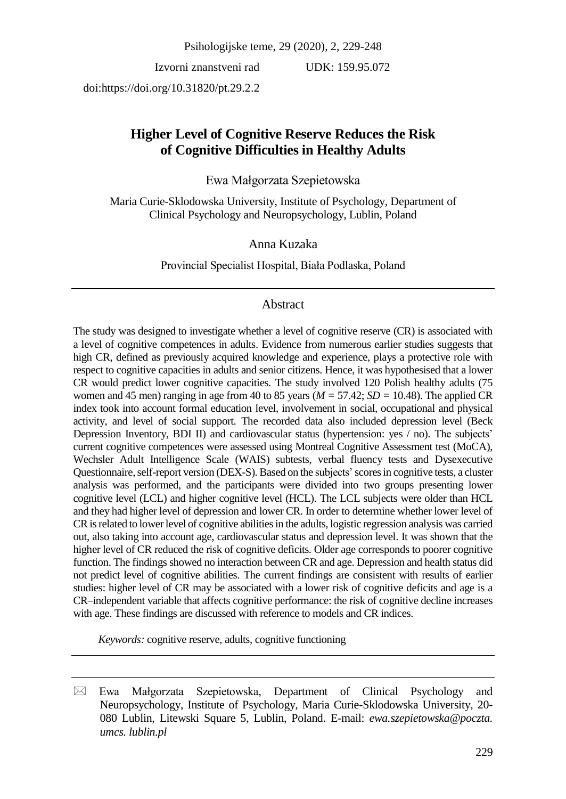Psihologijske teme, 29 (2020), 2, 229-248

Izvorni znanstveni rad

UDK: 159.95.072

doi:https://doi.org/10.31820/pt.29.2.2

# **Higher Level of Cognitive Reserve Reduces the Risk of Cognitive Difficulties in Healthy Adults**

# Ewa Małgorzata Szepietowska

Maria Curie-Sklodowska University, Institute of Psychology, Department of Clinical Psychology and Neuropsychology, Lublin, Poland

Anna Kuzaka

Provincial Specialist Hospital, Biała Podlaska, Poland

# Abstract

The study was designed to investigate whether a level of cognitive reserve (CR) is associated with a level of cognitive competences in adults. Evidence from numerous earlier studies suggests that high CR, defined as previously acquired knowledge and experience, plays a protective role with respect to cognitive capacities in adults and senior citizens. Hence, it was hypothesised that a lower CR would predict lower cognitive capacities. The study involved 120 Polish healthy adults (75 women and 45 men) ranging in age from 40 to 85 years (*M =* 57.42; *SD =* 10.48). The applied CR index took into account formal education level, involvement in social, occupational and physical activity, and level of social support. The recorded data also included depression level (Beck Depression Inventory, BDI II) and cardiovascular status (hypertension: yes / no). The subjects' current cognitive competences were assessed using Montreal Cognitive Assessment test (MoCA), Wechsler Adult Intelligence Scale (WAIS) subtests, verbal fluency tests and Dysexecutive Questionnaire, self-report version (DEX-S). Based on the subjects' scores in cognitive tests, a cluster analysis was performed, and the participants were divided into two groups presenting lower cognitive level (LCL) and higher cognitive level (HCL). The LCL subjects were older than HCL and they had higher level of depression and lower CR. In order to determine whether lower level of CR is related to lower level of cognitive abilities in the adults, logistic regression analysis was carried out, also taking into account age, cardiovascular status and depression level. It was shown that the higher level of CR reduced the risk of cognitive deficits. Older age corresponds to poorer cognitive function. The findings showed no interaction between CR and age. Depression and health status did not predict level of cognitive abilities. The current findings are consistent with results of earlier studies: higher level of CR may be associated with a lower risk of cognitive deficits and age is a CR–independent variable that affects cognitive performance: the risk of cognitive decline increases with age. These findings are discussed with reference to models and CR indices.

*Keywords:* cognitive reserve, adults, cognitive functioning

 $\boxtimes$  Ewa Małgorzata Szepietowska, Department of Clinical Psychology and Neuropsychology, Institute of Psychology, Maria Curie-Sklodowska University, 20- 080 Lublin, Litewski Square 5, Lublin, Poland. E-mail: *ewa.szepietowska@poczta. umcs. lublin.pl*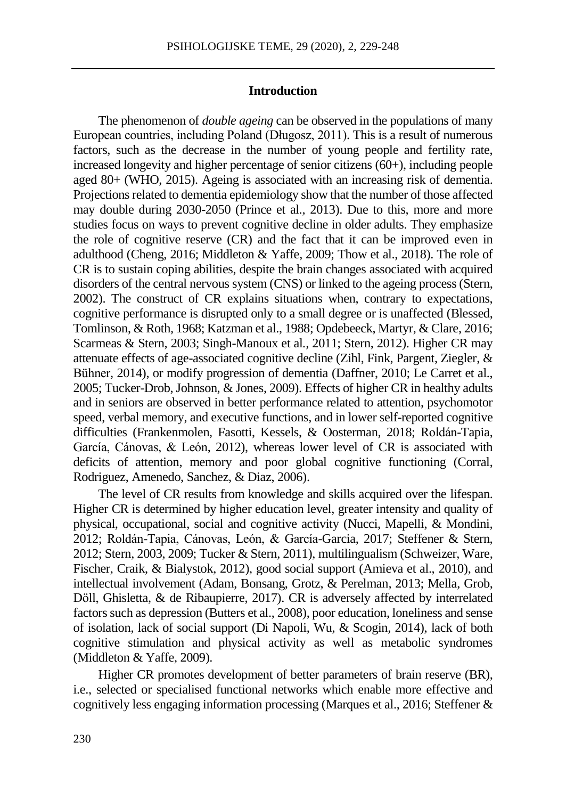### **Introduction**

The phenomenon of *double ageing* can be observed in the populations of many European countries, including Poland (Długosz, 2011). This is a result of numerous factors, such as the decrease in the number of young people and fertility rate, increased longevity and higher percentage of senior citizens (60+), including people aged 80+ (WHO, 2015). Ageing is associated with an increasing risk of dementia. Projections related to dementia epidemiology show that the number of those affected may double during 2030-2050 (Prince et al.*,* 2013). Due to this, more and more studies focus on ways to prevent cognitive decline in older adults. They emphasize the role of cognitive reserve (CR) and the fact that it can be improved even in adulthood (Cheng, 2016; Middleton & Yaffe, 2009; Thow et al., 2018). The role of CR is to sustain coping abilities, despite the brain changes associated with acquired disorders of the central nervous system (CNS) or linked to the ageing process (Stern, 2002). The construct of CR explains situations when, contrary to expectations, cognitive performance is disrupted only to a small degree or is unaffected (Blessed, Tomlinson, & Roth*,* 1968; Katzman et al., 1988; Opdebeeck, Martyr, & Clare, 2016; Scarmeas & Stern, 2003; Singh-Manoux et al*.,* 2011; Stern, 2012). Higher CR may attenuate effects of age-associated cognitive decline (Zihl, Fink, Pargent, Ziegler, & Bühner*,* 2014), or modify progression of dementia (Daffner, 2010; Le Carret et al., 2005; Tucker-Drob, Johnson, & Jones, 2009). Effects of higher CR in healthy adults and in seniors are observed in better performance related to attention, psychomotor speed, verbal memory, and executive functions, and in lower self-reported cognitive difficulties (Frankenmolen, Fasotti, Kessels, & Oosterman*,* 2018; Roldán-Tapia, García, Cánovas, & León, 2012), whereas lower level of CR is associated with deficits of attention, memory and poor global cognitive functioning (Corral, Rodriguez, Amenedo, Sanchez, & Diaz, 2006).

The level of CR results from knowledge and skills acquired over the lifespan. Higher CR is determined by higher education level, greater intensity and quality of physical, occupational, social and cognitive activity (Nucci, Mapelli, & Mondini*,* 2012; Roldán-Tapia, Cánovas, León, & García-Garcia, 2017; Steffener & Stern, 2012; Stern, 2003, 2009; Tucker & Stern, 2011), multilingualism (Schweizer, Ware, Fischer, [Craik, &](https://www.ncbi.nlm.nih.gov/pubmed/?term=Craik%20FI%5BAuthor%5D&cauthor=true&cauthor_uid=21596373) Bialystok, 2012), good social support (Amieva et al., 2010), and intellectual involvement (Adam, Bonsang, Grotz, & Perelman*,* 2013; Mella, Grob, Döll, [Ghisletta,](https://www.ncbi.nlm.nih.gov/pubmed/?term=Ghisletta%20P%5BAuthor%5D&cauthor=true&cauthor_uid=28257047) & de [Ribaupierre, 2](https://www.ncbi.nlm.nih.gov/pubmed/?term=de%20Ribaupierre%20A%5BAuthor%5D&cauthor=true&cauthor_uid=28257047)017). CR is adversely affected by interrelated factors such as depression (Butters et al., 2008), poor education, loneliness and sense of isolation, lack of social support (Di Napoli, Wu, & Scogin*,* 2014), lack of both cognitive stimulation and physical activity as well as metabolic syndromes (Middleton & Yaffe, 2009).

Higher CR promotes development of better parameters of brain reserve (BR), i.e., selected or specialised functional networks which enable more effective and cognitively less engaging information processing (Marques et al., 2016; Steffener &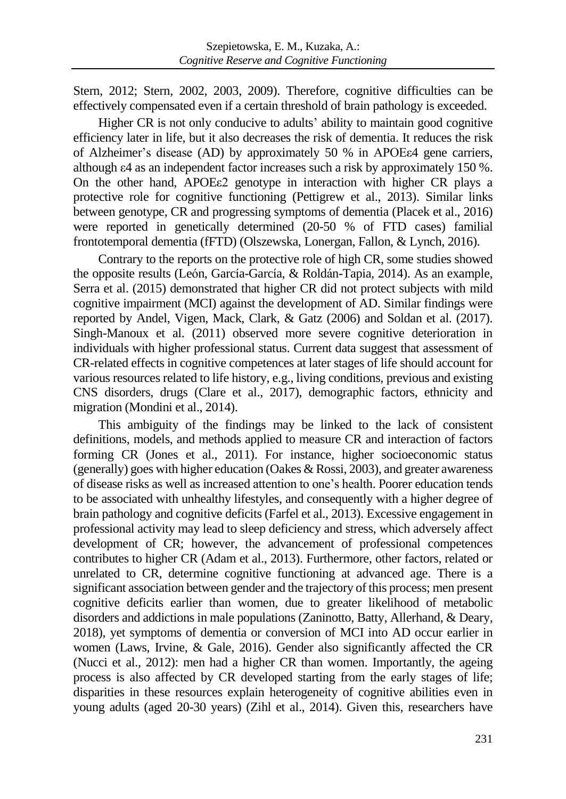Stern, 2012; Stern, 2002, 2003, 2009). Therefore, cognitive difficulties can be effectively compensated even if a certain threshold of brain pathology is exceeded.

Higher CR is not only conducive to adults' ability to maintain good cognitive efficiency later in life, but it also decreases the risk of dementia. It reduces the risk of Alzheimer's disease (AD) by approximately 50 % in APOEε4 gene carriers, although ε4 as an independent factor increases such a risk by approximately 150 %. On the other hand, APOEε2 genotype in interaction with higher CR plays a protective role for cognitive functioning (Pettigrew et al., 2013). Similar links between genotype, CR and progressing symptoms of dementia (Placek et al., 2016) were reported in genetically determined (20-50 % of FTD cases) familial frontotemporal dementia (fFTD) (Olszewska, Lonergan, Fallon, & Lynch*,* 2016).

Contrary to the reports on the protective role of high CR, some studies showed the opposite results (León, García-García, & Roldán-Tapia*,* 2014). As an example, Serra et al. (2015) demonstrated that higher CR did not protect subjects with mild cognitive impairment (MCI) against the development of AD. Similar findings were reported by Andel, Vigen, Mack, Clark, & Gatz (2006) and Soldan et al. (2017). Singh-Manoux et al. (2011) observed more severe cognitive deterioration in individuals with higher professional status. Current data suggest that assessment of CR-related effects in cognitive competences at later stages of life should account for various resources related to life history, e.g., living conditions, previous and existing CNS disorders, drugs (Clare et al., 2017), demographic factors, ethnicity and migration (Mondini et al., 2014).

This ambiguity of the findings may be linked to the lack of consistent definitions, models, and methods applied to measure CR and interaction of factors forming CR (Jones et al., 2011). For instance, higher socioeconomic status (generally) goes with higher education (Oakes & Rossi, 2003), and greater awareness of disease risks as well as increased attention to one's health. Poorer education tends to be associated with unhealthy lifestyles, and consequently with a higher degree of brain pathology and cognitive deficits (Farfel et al., 2013). Excessive engagement in professional activity may lead to sleep deficiency and stress, which adversely affect development of CR; however, the advancement of professional competences contributes to higher CR (Adam et al., 2013). Furthermore, other factors, related or unrelated to CR, determine cognitive functioning at advanced age. There is a significant association between gender and the trajectory of this process; men present cognitive deficits earlier than women, due to greater likelihood of metabolic disorders and addictions in male populations (Zaninotto, Batty, Allerhand, & Deary*,* 2018), yet symptoms of dementia or conversion of MCI into AD occur earlier in women (Laws, Irvine, & Gale, 2016). Gender also significantly affected the CR (Nucci et al., 2012): men had a higher CR than women. Importantly, the ageing process is also affected by CR developed starting from the early stages of life; disparities in these resources explain heterogeneity of cognitive abilities even in young adults (aged 20-30 years) (Zihl et al., 2014). Given this, researchers have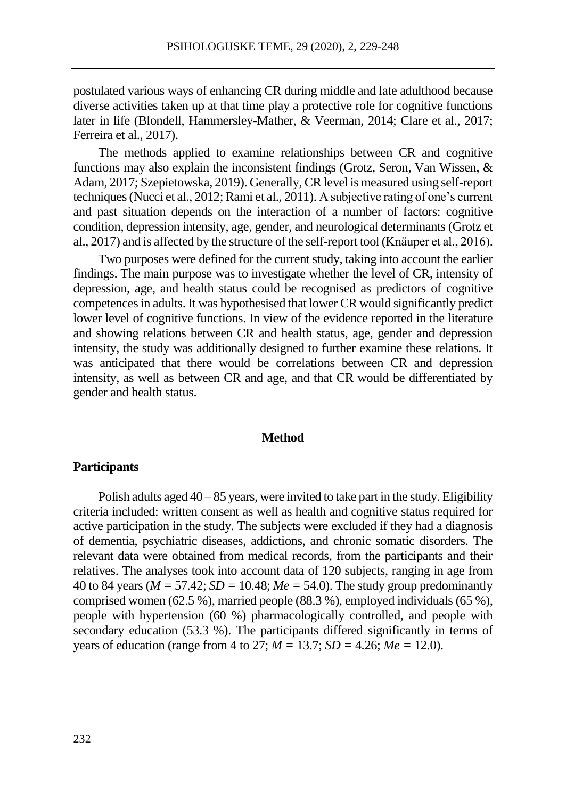postulated various ways of enhancing CR during middle and late adulthood because diverse activities taken up at that time play a protective role for cognitive functions later in life (Blondell, Hammersley-Mather, & Veerman, 2014; Clare et al., 2017; Ferreira et al., 2017).

The methods applied to examine relationships between CR and cognitive functions may also explain the inconsistent findings (Grotz, Seron, Van Wissen, & Adam, 2017; Szepietowska, 2019). Generally, CR level is measured using self-report techniques (Nucci et al., 2012; Rami et al., 2011). A subjective rating of one's current and past situation depends on the interaction of a number of factors: cognitive condition, depression intensity, age, gender, and neurological determinants (Grotz et al., 2017) and is affected by the structure of the self-report tool (Knäuper et al., 2016).

Two purposes were defined for the current study, taking into account the earlier findings. The main purpose was to investigate whether the level of CR, intensity of depression, age, and health status could be recognised as predictors of cognitive competences in adults. It was hypothesised that lower CR would significantly predict lower level of cognitive functions. In view of the evidence reported in the literature and showing relations between CR and health status, age, gender and depression intensity, the study was additionally designed to further examine these relations. It was anticipated that there would be correlations between CR and depression intensity, as well as between CR and age, and that CR would be differentiated by gender and health status.

### **Method**

### **Participants**

Polish adults aged  $40 - 85$  years, were invited to take part in the study. Eligibility criteria included: written consent as well as health and cognitive status required for active participation in the study. The subjects were excluded if they had a diagnosis of dementia, psychiatric diseases, addictions, and chronic somatic disorders. The relevant data were obtained from medical records, from the participants and their relatives. The analyses took into account data of 120 subjects, ranging in age from 40 to 84 years ( $M = 57.42$ ;  $SD = 10.48$ ;  $Me = 54.0$ ). The study group predominantly comprised women (62.5 %), married people (88.3 %), employed individuals (65 %), people with hypertension (60 %) pharmacologically controlled, and people with secondary education (53.3 %). The participants differed significantly in terms of years of education (range from 4 to 27; *M =* 13.7; *SD =* 4.26; *Me =* 12.0).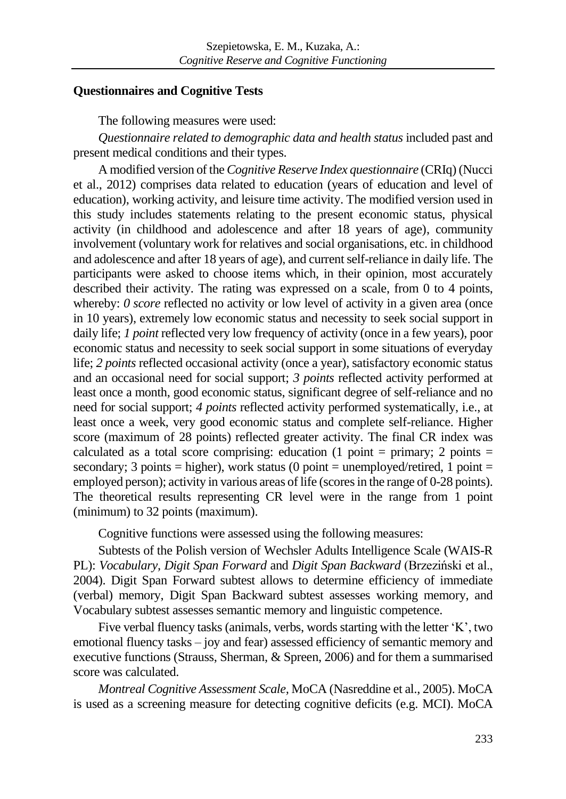# **Questionnaires and Cognitive Tests**

The following measures were used:

*Questionnaire related to demographic data and health status* included past and present medical conditions and their types.

A modified version of the *Cognitive Reserve Index questionnaire* (CRIq) (Nucci et al., 2012) comprises data related to education (years of education and level of education), working activity, and leisure time activity. The modified version used in this study includes statements relating to the present economic status, physical activity (in childhood and adolescence and after 18 years of age), community involvement (voluntary work for relatives and social organisations, etc. in childhood and adolescence and after 18 years of age), and current self-reliance in daily life. The participants were asked to choose items which, in their opinion, most accurately described their activity. The rating was expressed on a scale, from 0 to 4 points, whereby: *0 score* reflected no activity or low level of activity in a given area (once in 10 years), extremely low economic status and necessity to seek social support in daily life; *1 point* reflected very low frequency of activity (once in a few years), poor economic status and necessity to seek social support in some situations of everyday life; *2 points* reflected occasional activity (once a year), satisfactory economic status and an occasional need for social support; *3 points* reflected activity performed at least once a month, good economic status, significant degree of self-reliance and no need for social support; *4 points* reflected activity performed systematically, i.e., at least once a week, very good economic status and complete self-reliance. Higher score (maximum of 28 points) reflected greater activity. The final CR index was calculated as a total score comprising: education (1 point = primary; 2 points = secondary; 3 points = higher), work status (0 point = unemployed/retired, 1 point = employed person); activity in various areas of life (scores in the range of 0-28 points). The theoretical results representing CR level were in the range from 1 point (minimum) to 32 points (maximum).

Cognitive functions were assessed using the following measures:

Subtests of the Polish version of Wechsler Adults Intelligence Scale (WAIS-R PL): *Vocabulary, Digit Span Forward* and *Digit Span Backward* (Brzeziński et al., 2004). Digit Span Forward subtest allows to determine efficiency of immediate (verbal) memory, Digit Span Backward subtest assesses working memory, and Vocabulary subtest assesses semantic memory and linguistic competence.

Five verbal fluency tasks (animals, verbs, words starting with the letter 'K', two emotional fluency tasks – joy and fear) assessed efficiency of semantic memory and executive functions (Strauss, Sherman, & Spreen, 2006) and for them a summarised score was calculated.

*Montreal Cognitive Assessment Scale,* MoCA (Nasreddine et al., 2005). MoCA is used as a screening measure for detecting cognitive deficits (e.g. MCI). MoCA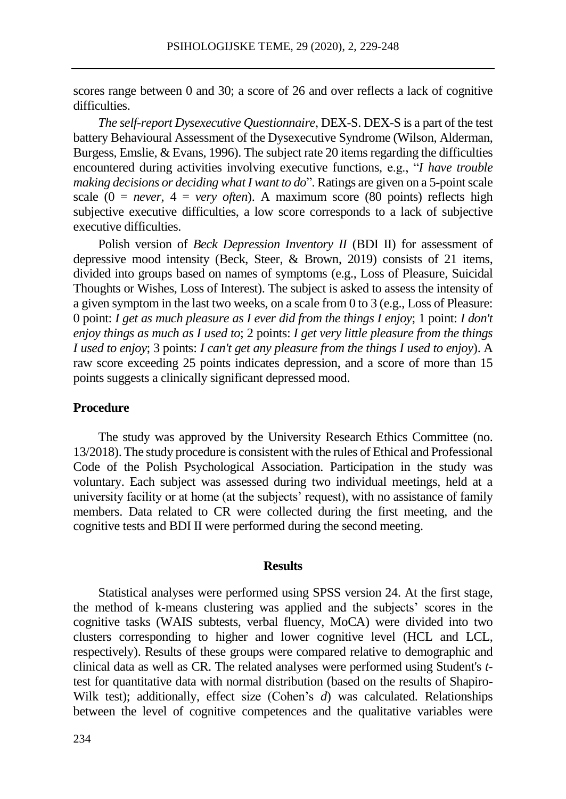scores range between 0 and 30; a score of 26 and over reflects a lack of cognitive difficulties.

*The self-report Dysexecutive Questionnaire*, DEX-S. DEX-S is a part of the test battery Behavioural Assessment of the Dysexecutive Syndrome (Wilson, Alderman, Burgess, Emslie, & Evans, 1996). The subject rate 20 items regarding the difficulties encountered during activities involving executive functions, e.g., "*I have trouble making decisions or deciding what I want to do*". Ratings are given on a 5-point scale scale  $(0 = never, 4 = very often)$ . A maximum score (80 points) reflects high subjective executive difficulties, a low score corresponds to a lack of subjective executive difficulties.

Polish version of *Beck Depression Inventory II* (BDI II) for assessment of depressive mood intensity (Beck, Steer, & Brown, 2019) consists of 21 items, divided into groups based on names of symptoms (e.g., Loss of Pleasure, Suicidal Thoughts or Wishes, Loss of Interest). The subject is asked to assess the intensity of a given symptom in the last two weeks, on a scale from 0 to 3 (e.g., Loss of Pleasure: 0 point: *I get as much pleasure as I ever did from the things I enjoy*; 1 point: *I don't enjoy things as much as I used to*; 2 points: *I get very little pleasure from the things I used to enjoy*; 3 points: *I can't get any pleasure from the things I used to enjoy*). A raw score exceeding 25 points indicates depression, and a score of more than 15 points suggests a clinically significant depressed mood.

### **Procedure**

The study was approved by the University Research Ethics Committee (no. 13/2018). The study procedure is consistent with the rules of Ethical and Professional Code of the Polish Psychological Association. Participation in the study was voluntary. Each subject was assessed during two individual meetings, held at a university facility or at home (at the subjects' request), with no assistance of family members. Data related to CR were collected during the first meeting, and the cognitive tests and BDI II were performed during the second meeting.

#### **Results**

Statistical analyses were performed using SPSS version 24. At the first stage, the method of k-means clustering was applied and the subjects' scores in the cognitive tasks (WAIS subtests, verbal fluency, MoCA) were divided into two clusters corresponding to higher and lower cognitive level (HCL and LCL, respectively). Results of these groups were compared relative to demographic and clinical data as well as CR. The related analyses were performed using Student's *t*test for quantitative data with normal distribution (based on the results of Shapiro-Wilk test); additionally, effect size (Cohen's *d*) was calculated. Relationships between the level of cognitive competences and the qualitative variables were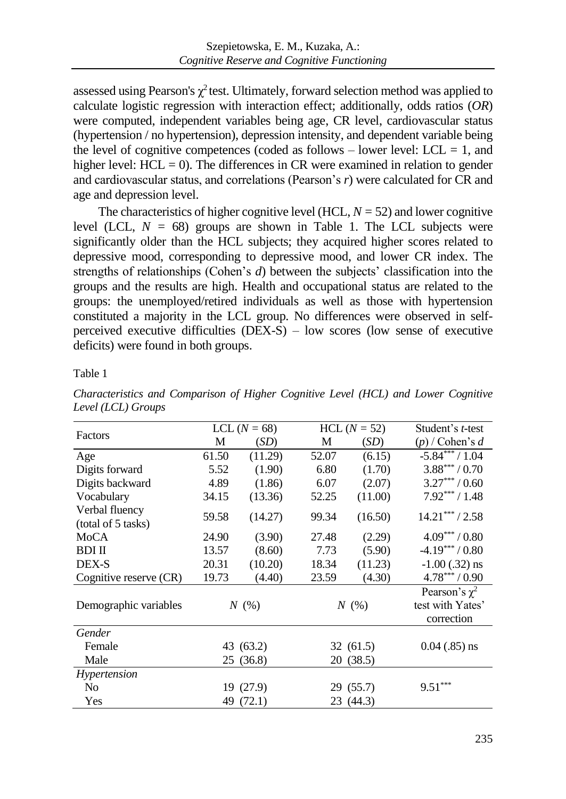assessed using Pearson's  $\chi^2$  test. Ultimately, forward selection method was applied to calculate logistic regression with interaction effect; additionally, odds ratios (*OR*) were computed, independent variables being age, CR level, cardiovascular status (hypertension / no hypertension), depression intensity, and dependent variable being the level of cognitive competences (coded as follows – lower level:  $LCL = 1$ , and higher level:  $HCL = 0$ ). The differences in CR were examined in relation to gender and cardiovascular status, and correlations (Pearson's *r*) were calculated for CR and age and depression level.

The characteristics of higher cognitive level (HCL,  $N = 52$ ) and lower cognitive level (LCL,  $N = 68$ ) groups are shown in Table 1. The LCL subjects were significantly older than the HCL subjects; they acquired higher scores related to depressive mood, corresponding to depressive mood, and lower CR index. The strengths of relationships (Cohen's *d*) between the subjects' classification into the groups and the results are high. Health and occupational status are related to the groups: the unemployed/retired individuals as well as those with hypertension constituted a majority in the LCL group. No differences were observed in selfperceived executive difficulties  $(DEX-S)$  – low scores (low sense of executive deficits) were found in both groups.

Table 1

| Factors                              | LCL $(N = 68)$ |           |           | $HCL (N = 52)$ | Student's <i>t</i> -test                             |  |
|--------------------------------------|----------------|-----------|-----------|----------------|------------------------------------------------------|--|
|                                      | M              | (SD)      | M         | (SD)           | $(p)$ / Cohen's d                                    |  |
| Age                                  | 61.50          | (11.29)   | 52.07     | (6.15)         | $-5.84***/1.04$                                      |  |
| Digits forward                       | 5.52           | (1.90)    | 6.80      | (1.70)         | $3.88***/0.70$                                       |  |
| Digits backward                      | 4.89           | (1.86)    | 6.07      | (2.07)         | $3.27***/0.60$                                       |  |
| Vocabulary                           | 34.15          | (13.36)   | 52.25     | (11.00)        | $7.92***/1.48$                                       |  |
| Verbal fluency<br>(total of 5 tasks) | 59.58          | (14.27)   | 99.34     | (16.50)        | $14.21***/2.58$                                      |  |
| MoCA                                 | 24.90          | (3.90)    | 27.48     | (2.29)         | $4.09***/0.80$                                       |  |
| <b>BDI II</b>                        | 13.57          | (8.60)    | 7.73      | (5.90)         | $-4.19***/0.80$                                      |  |
| DEX-S                                | 20.31          | (10.20)   | 18.34     | (11.23)        | $-1.00$ (.32) ns                                     |  |
| Cognitive reserve (CR)               | 19.73          | (4.40)    | 23.59     | (4.30)         | $4.78***/0.90$                                       |  |
| Demographic variables                | N(%)           |           | N(%)      |                | Pearson's $\chi^2$<br>test with Yates'<br>correction |  |
| Gender                               |                |           |           |                |                                                      |  |
| Female                               | 43 (63.2)      |           | 32(61.5)  |                | $0.04$ (.85) ns                                      |  |
| Male                                 | 25 (36.8)      |           | 20 (38.5) |                |                                                      |  |
| Hypertension                         |                |           |           |                |                                                      |  |
| No                                   | 19 (27.9)      |           | 29 (55.7) |                | $9.51***$                                            |  |
| Yes                                  |                | 49 (72.1) |           | 23 (44.3)      |                                                      |  |

*Characteristics and Comparison of Higher Cognitive Level (HCL) and Lower Cognitive Level (LCL) Groups*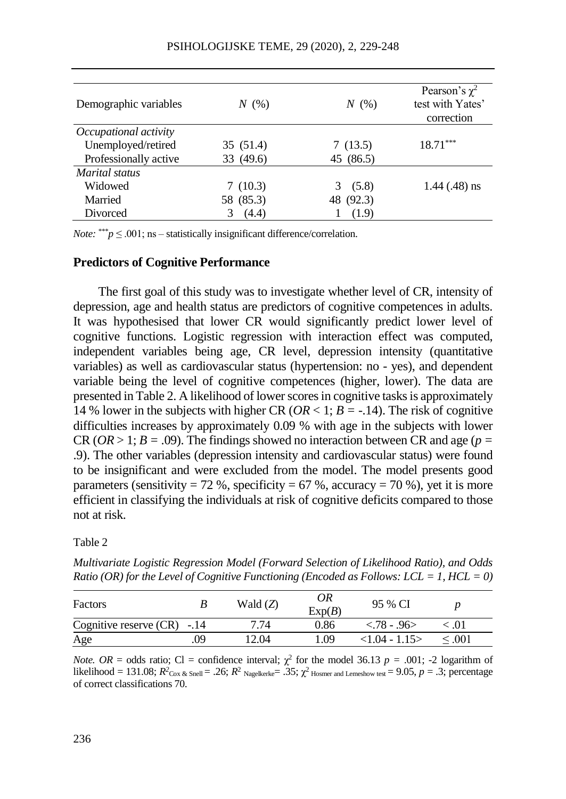| Demographic variables | N(%)      | N(%)       | Pearson's $\chi^2$<br>test with Yates'<br>correction |
|-----------------------|-----------|------------|------------------------------------------------------|
| Occupational activity |           |            |                                                      |
| Unemployed/retired    | 35 (51.4) | 7(13.5)    | $18.71***$                                           |
| Professionally active | 33 (49.6) | 45 (86.5)  |                                                      |
| Marital status        |           |            |                                                      |
| Widowed               | 7(10.3)   | (5.8)<br>3 | $1.44$ (.48) ns                                      |
| Married               | 58 (85.3) | 48 (92.3)  |                                                      |
| Divorced              | (4.4)     | (1.9)      |                                                      |

*Note:* \*\*\**p*  $\leq$  .001; ns – statistically insignificant difference/correlation.

# **Predictors of Cognitive Performance**

The first goal of this study was to investigate whether level of CR, intensity of depression, age and health status are predictors of cognitive competences in adults. It was hypothesised that lower CR would significantly predict lower level of cognitive functions. Logistic regression with interaction effect was computed, independent variables being age, CR level, depression intensity (quantitative variables) as well as cardiovascular status (hypertension: no - yes), and dependent variable being the level of cognitive competences (higher, lower). The data are presented in Table 2. A likelihood of lower scores in cognitive tasks is approximately 14 % lower in the subjects with higher CR ( $OR < 1$ ;  $B = -.14$ ). The risk of cognitive difficulties increases by approximately 0.09 % with age in the subjects with lower CR ( $OR > 1$ ;  $B = .09$ ). The findings showed no interaction between CR and age ( $p =$ .9). The other variables (depression intensity and cardiovascular status) were found to be insignificant and were excluded from the model. The model presents good parameters (sensitivity = 72 %, specificity = 67 %, accuracy = 70 %), yet it is more efficient in classifying the individuals at risk of cognitive deficits compared to those not at risk.

Table 2

*Multivariate Logistic Regression Model (Forward Selection of Likelihood Ratio), and Odds Ratio (OR) for the Level of Cognitive Functioning (Encoded as Follows: LCL = 1, HCL = 0)*

| Factors                      |    | Wald $(Z)$ | 0R<br>Exp(B) | 95 % CI        |             |  |
|------------------------------|----|------------|--------------|----------------|-------------|--|
| Cognitive reserve $(CR) -14$ |    | 7.74       | 0.86         | $< .78 - .96>$ | ∈.01        |  |
| Age                          | 09 | 12.04      | -09          | $<1.04 - 1.15$ | $\leq 0.01$ |  |

*Note. OR* = odds ratio; Cl = confidence interval;  $\chi^2$  for the model 36.13 *p* = .001; -2 logarithm of [likelihood](https://www.google.pl/search?q=logarithm+of+likelihood+in+Multivariate+logistic+regression+model&spell=1&sa=X&ved=0ahUKEwjMveSfuufZAhVJFSwKHcFQAM4QkeECCCQoAA) = 131.08;  $R^2$ <sub>Cox & Snell</sub> = .26;  $R^2$  Nagelkerke= .35;  $\chi^2$  Hosmer and Lemeshow test = 9.05,  $p = .3$ ; percentage of correct classifications 70.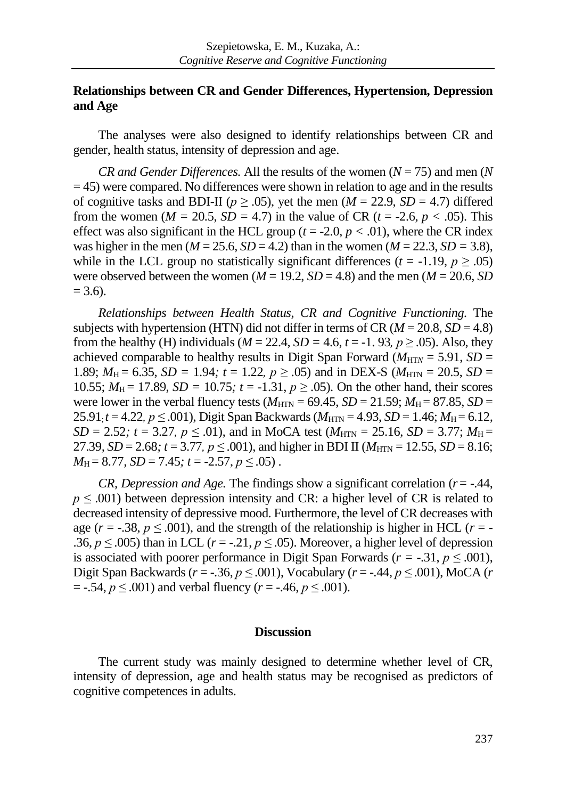# **Relationships between CR and Gender Differences, Hypertension, Depression and Age**

The analyses were also designed to identify relationships between CR and gender, health status, intensity of depression and age.

*CR and Gender Differences.* All the results of the women  $(N = 75)$  and men  $(N$  $=$  45) were compared. No differences were shown in relation to age and in the results of cognitive tasks and BDI-II ( $p \ge 0.05$ ), yet the men ( $M = 22.9$ ,  $SD = 4.7$ ) differed from the women ( $M = 20.5$ ,  $SD = 4.7$ ) in the value of CR ( $t = -2.6$ ,  $p < .05$ ). This effect was also significant in the HCL group ( $t = -2.0$ ,  $p < .01$ ), where the CR index was higher in the men ( $M = 25.6$ ,  $SD = 4.2$ ) than in the women ( $M = 22.3$ ,  $SD = 3.8$ ), while in the LCL group no statistically significant differences ( $t = -1.19$ ,  $p \ge 0.05$ ) were observed between the women  $(M = 19.2, SD = 4.8)$  and the men  $(M = 20.6, SD)$  $= 3.6$ ).

*Relationships between Health Status, CR and Cognitive Functioning.* The subjects with hypertension (HTN) did not differ in terms of CR  $(M = 20.8, SD = 4.8)$ from the healthy (H) individuals ( $M = 22.4$ ,  $SD = 4.6$ ,  $t = -1.93$ ,  $p \ge 0.05$ ). Also, they achieved comparable to healthy results in Digit Span Forward ( $M_{\text{HT}N} = 5.91$ ,  $SD =$ 1.89;  $M_H = 6.35$ ,  $SD = 1.94$ ;  $t = 1.22$ ,  $p \ge .05$ ) and in DEX-S ( $M_{\text{HTN}} = 20.5$ ,  $SD =$ 10.55;  $M_H = 17.89$ ,  $SD = 10.75$ ;  $t = -1.31$ ,  $p \ge 0.05$ ). On the other hand, their scores were lower in the verbal fluency tests  $(M_{\text{HTN}} = 69.45, SD = 21.59; M_{\text{H}} = 87.85, SD =$  $25.91$ <sub>;</sub> $t = 4.22$ ,  $p \le 0.001$ ), Digit Span Backwards ( $M_{\text{HTN}} = 4.93$ ,  $SD = 1.46$ ;  $M_{\text{H}} = 6.12$ , *SD* = 2.52;  $t = 3.27$ ,  $p \le 0.01$ ), and in MoCA test ( $M_{\text{HTN}} = 25.16$ , *SD* = 3.77;  $M_{\text{H}} =$ 27.39*, SD* = 2.68*;*  $t = 3.77$ ,  $p \le 0.001$ ), and higher in BDI II ( $M_{\text{HTN}} = 12.55$ , *SD* = 8.16*;*  $M_H = 8.77$ ,  $SD = 7.45$ ;  $t = -2.57$ ,  $p \le .05$ ).

*CR, Depression and Age.* The findings show a significant correlation  $(r = -.44, ...)$ *p* ≤ .001) between depression intensity and CR: a higher level of CR is related to decreased intensity of depressive mood. Furthermore, the level of CR decreases with age ( $r = -0.38$ ,  $p \le 0.001$ ), and the strength of the relationship is higher in HCL ( $r = -$ .36,  $p \le 0.005$ ) than in LCL ( $r = -0.21$ ,  $p \le 0.05$ ). Moreover, a higher level of depression is associated with poorer performance in Digit Span Forwards ( $r = -.31, p \le .001$ ), Digit Span Backwards (*r* = -.36, *p ≤* .001), Vocabulary (*r* = -.44, *p ≤* .001), MoCA (*r*   $=$  -.54,  $p \le 0.001$ ) and verbal fluency ( $r = -0.46$ ,  $p \le 0.001$ ).

### **Discussion**

The current study was mainly designed to determine whether level of CR, intensity of depression, age and health status may be recognised as predictors of cognitive competences in adults.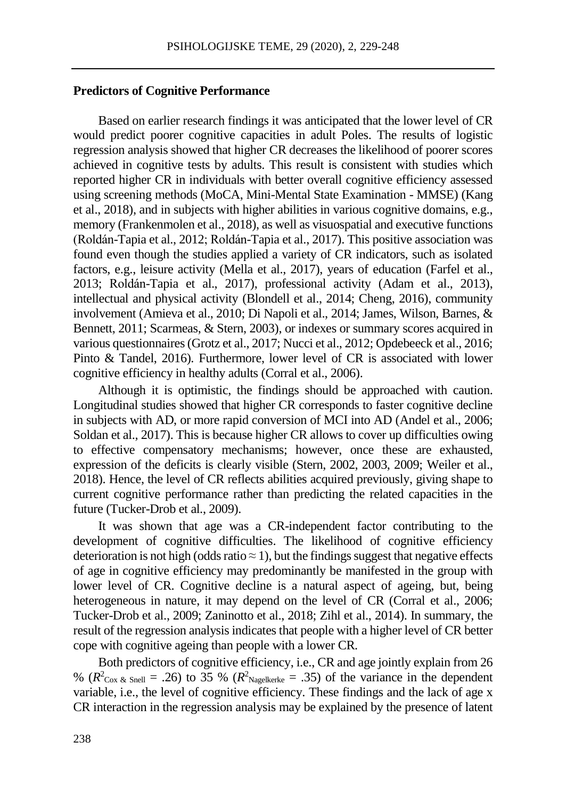# **Predictors of Cognitive Performance**

Based on earlier research findings it was anticipated that the lower level of CR would predict poorer cognitive capacities in adult Poles. The results of logistic regression analysis showed that higher CR decreases the likelihood of poorer scores achieved in cognitive tests by adults. This result is consistent with studies which reported higher CR in individuals with better overall cognitive efficiency assessed using screening methods (MoCA, Mini-Mental State Examination - MMSE) (Kang et al., 2018), and in subjects with higher abilities in various cognitive domains, e.g., memory (Frankenmolen et al., 2018), as well as visuospatial and executive functions (Roldán-Tapia et al., 2012; Roldán-Tapia et al., 2017). This positive association was found even though the studies applied a variety of CR indicators, such as isolated factors, e.g., leisure activity (Mella et al., 2017), years of education (Farfel et al., 2013; Roldán-Tapia et al., 2017), professional activity (Adam et al., 2013), intellectual and physical activity (Blondell et al., 2014; Cheng, 2016), community involvement (Amieva et al., 2010; Di Napoli et al., 2014; James, Wilson, Barnes, & Bennett, 2011; Scarmeas, & Stern, 2003), or indexes or summary scores acquired in various questionnaires (Grotz et al., 2017; Nucci et al., 2012; Opdebeeck et al., 2016; Pinto & Tandel, 2016). Furthermore, lower level of CR is associated with lower cognitive efficiency in healthy adults (Corral et al., 2006).

Although it is optimistic, the findings should be approached with caution. Longitudinal studies showed that higher CR corresponds to faster cognitive decline in subjects with AD, or more rapid conversion of MCI into AD (Andel et al., 2006; Soldan et al., 2017). This is because higher CR allows to cover up difficulties owing to effective compensatory mechanisms; however, once these are exhausted, expression of the deficits is clearly visible (Stern, 2002, 2003, 2009; Weiler et al., 2018). Hence, the level of CR reflects abilities acquired previously, giving shape to current cognitive performance rather than predicting the related capacities in the future (Tucker-Drob et al., 2009).

It was shown that age was a CR-independent factor contributing to the development of cognitive difficulties. The likelihood of cognitive efficiency deterioration is not high (odds ratio  $\approx$  1), but the findings suggest that negative effects of age in cognitive efficiency may predominantly be manifested in the group with lower level of CR. Cognitive decline is a natural aspect of ageing, but, being heterogeneous in nature, it may depend on the level of CR (Corral et al., 2006; Tucker-Drob et al., 2009; Zaninotto et al., 2018; Zihl et al., 2014). In summary, the result of the regression analysis indicates that people with a higher level of CR better cope with cognitive ageing than people with a lower CR.

Both predictors of cognitive efficiency, i.e., CR and age jointly explain from 26 % ( $R^2_{\text{Cox & Snell}} = .26$ ) to 35 % ( $R^2_{\text{Nagelkerke}} = .35$ ) of the variance in the dependent variable, i.e., the level of cognitive efficiency. These findings and the lack of age x CR interaction in the regression analysis may be explained by the presence of latent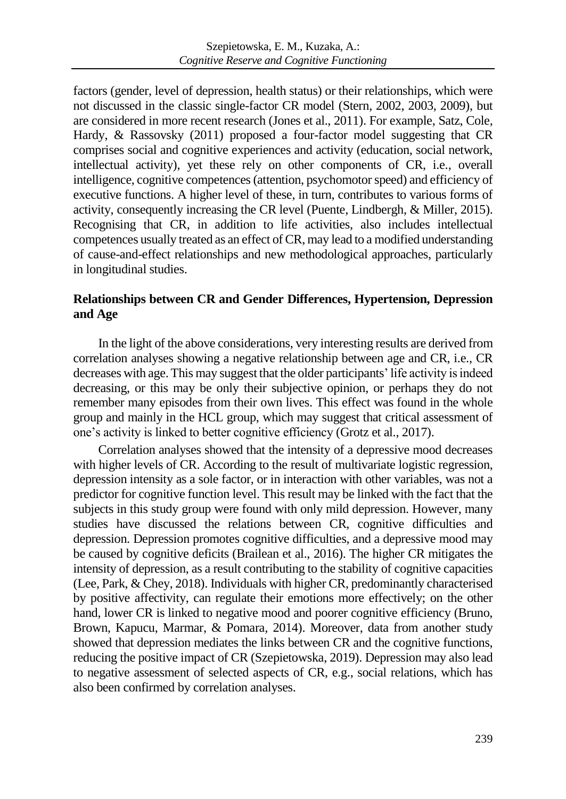factors (gender, level of depression, health status) or their relationships, which were not discussed in the classic single-factor CR model (Stern, 2002, 2003, 2009), but are considered in more recent research (Jones et al., 2011). For example, Satz, Cole, Hardy, & Rassovsky (2011) proposed a four-factor model suggesting that CR comprises social and cognitive experiences and activity (education, social network, intellectual activity), yet these rely on other components of CR, i.e., overall intelligence, cognitive competences (attention, psychomotor speed) and efficiency of executive functions. A higher level of these, in turn, contributes to various forms of activity, consequently increasing the CR level (Puente, Lindbergh, & Miller, 2015). Recognising that CR, in addition to life activities, also includes intellectual competences usually treated as an effect of CR, may lead to a modified understanding of cause-and-effect relationships and new methodological approaches, particularly in longitudinal studies.

# **Relationships between CR and Gender Differences, Hypertension, Depression and Age**

In the light of the above considerations, very interesting results are derived from correlation analyses showing a negative relationship between age and CR, i.e., CR decreases with age. This may suggest that the older participants' life activity is indeed decreasing, or this may be only their subjective opinion, or perhaps they do not remember many episodes from their own lives. This effect was found in the whole group and mainly in the HCL group, which may suggest that critical assessment of one's activity is linked to better cognitive efficiency (Grotz et al., 2017).

Correlation analyses showed that the intensity of a depressive mood decreases with higher levels of CR. According to the result of multivariate logistic regression, depression intensity as a sole factor, or in interaction with other variables, was not a predictor for cognitive function level. This result may be linked with the fact that the subjects in this study group were found with only mild depression. However, many studies have discussed the relations between CR, cognitive difficulties and depression. Depression promotes cognitive difficulties, and a depressive mood may be caused by cognitive deficits (Brailean et al., 2016). The higher CR mitigates the intensity of depression, as a result contributing to the stability of cognitive capacities (Lee, Park, & Chey, 2018). Individuals with higher CR, predominantly characterised by positive affectivity, can regulate their emotions more effectively; on the other hand, lower CR is linked to negative mood and poorer cognitive efficiency (Bruno, Brown, Kapucu, Marmar, & Pomara*,* 2014). Moreover, data from another study showed that depression mediates the links between CR and the cognitive functions, reducing the positive impact of CR (Szepietowska, 2019). Depression may also lead to negative assessment of selected aspects of CR, e.g., social relations, which has also been confirmed by correlation analyses.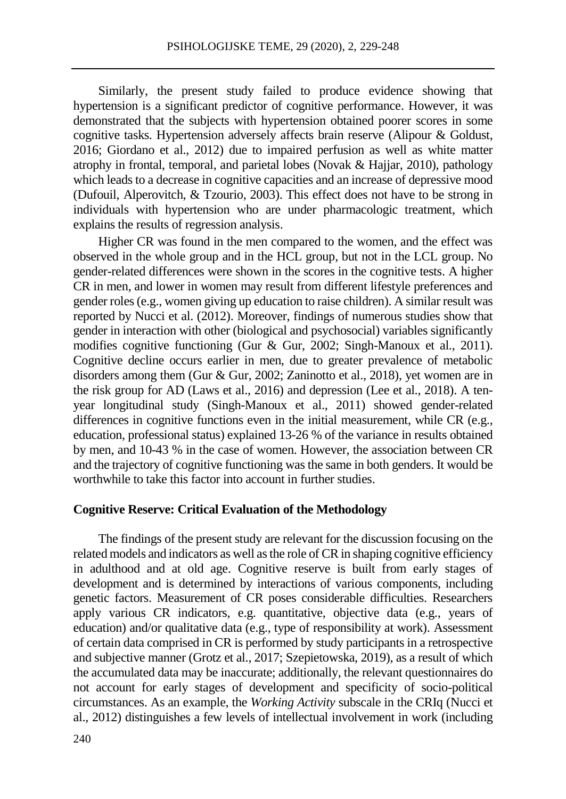Similarly, the present study failed to produce evidence showing that hypertension is a significant predictor of cognitive performance. However, it was demonstrated that the subjects with hypertension obtained poorer scores in some cognitive tasks. Hypertension adversely affects brain reserve (Alipour & Goldust, 2016; Giordano et al., 2012) due to impaired perfusion as well as white matter atrophy in frontal, temporal, and parietal lobes (Novak & Hajjar, 2010), pathology which leads to a decrease in cognitive capacities and an increase of depressive mood (Dufouil, Alperovitch, & Tzourio, 2003). This effect does not have to be strong in individuals with hypertension who are under pharmacologic treatment, which explains the results of regression analysis.

Higher CR was found in the men compared to the women, and the effect was observed in the whole group and in the HCL group, but not in the LCL group. No gender-related differences were shown in the scores in the cognitive tests. A higher CR in men, and lower in women may result from different lifestyle preferences and gender roles (e.g., women giving up education to raise children). A similar result was reported by Nucci et al. (2012). Moreover, findings of numerous studies show that gender in interaction with other (biological and psychosocial) variables significantly modifies cognitive functioning (Gur & Gur, 2002; Singh-Manoux et al., 2011). Cognitive decline occurs earlier in men, due to greater prevalence of metabolic disorders among them (Gur & Gur, 2002; Zaninotto et al., 2018), yet women are in the risk group for AD (Laws et al., 2016) and depression (Lee et al., 2018). A tenyear longitudinal study (Singh-Manoux et al., 2011) showed gender-related differences in cognitive functions even in the initial measurement, while CR (e.g., education, professional status) explained 13-26 % of the variance in results obtained by men, and 10-43 % in the case of women. However, the association between CR and the trajectory of cognitive functioning was the same in both genders. It would be worthwhile to take this factor into account in further studies.

### **Cognitive Reserve: Critical Evaluation of the Methodology**

The findings of the present study are relevant for the discussion focusing on the related models and indicators as well as the role of CR in shaping cognitive efficiency in adulthood and at old age. Cognitive reserve is built from early stages of development and is determined by interactions of various components, including genetic factors. Measurement of CR poses considerable difficulties. Researchers apply various CR indicators, e.g. quantitative, objective data (e.g., years of education) and/or qualitative data (e.g., type of responsibility at work). Assessment of certain data comprised in CR is performed by study participants in a retrospective and subjective manner (Grotz et al., 2017; Szepietowska, 2019), as a result of which the accumulated data may be inaccurate; additionally, the relevant questionnaires do not account for early stages of development and specificity of socio-political circumstances. As an example, the *Working Activity* subscale in the CRIq (Nucci et al., 2012) distinguishes a few levels of intellectual involvement in work (including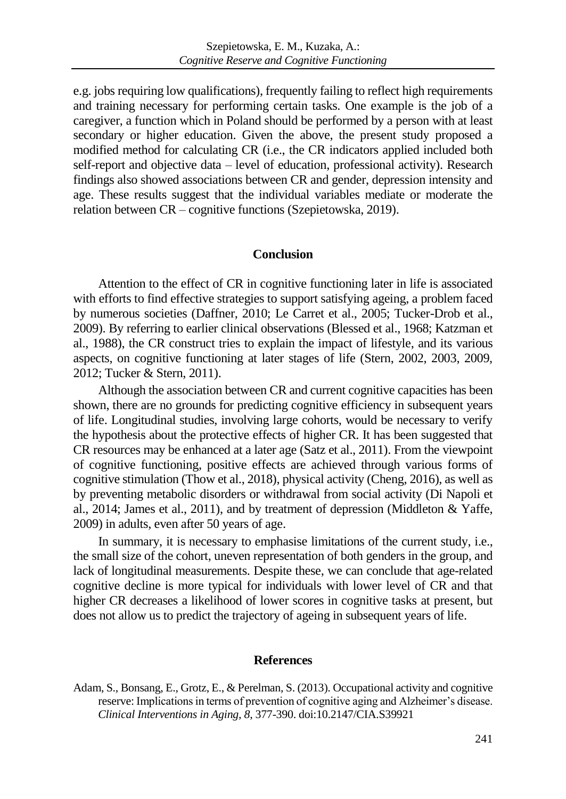e.g. jobs requiring low qualifications), frequently failing to reflect high requirements and training necessary for performing certain tasks. One example is the job of a caregiver, a function which in Poland should be performed by a person with at least secondary or higher education. Given the above, the present study proposed a modified method for calculating CR (i.e., the CR indicators applied included both self-report and objective data – level of education, professional activity). Research findings also showed associations between CR and gender, depression intensity and age. These results suggest that the individual variables mediate or moderate the relation between CR – cognitive functions (Szepietowska, 2019).

#### **Conclusion**

Attention to the effect of CR in cognitive functioning later in life is associated with efforts to find effective strategies to support satisfying ageing, a problem faced by numerous societies (Daffner, 2010; Le Carret et al., 2005; Tucker-Drob et al., 2009). By referring to earlier clinical observations (Blessed et al., 1968; Katzman et al., 1988), the CR construct tries to explain the impact of lifestyle, and its various aspects, on cognitive functioning at later stages of life (Stern, 2002, 2003, 2009, 2012; Tucker & Stern, 2011).

Although the association between CR and current cognitive capacities has been shown, there are no grounds for predicting cognitive efficiency in subsequent years of life. Longitudinal studies, involving large cohorts, would be necessary to verify the hypothesis about the protective effects of higher CR. It has been suggested that CR resources may be enhanced at a later age (Satz et al., 2011). From the viewpoint of cognitive functioning, positive effects are achieved through various forms of cognitive stimulation (Thow et al., 2018), physical activity (Cheng, 2016), as well as by preventing metabolic disorders or withdrawal from social activity (Di Napoli et al., 2014; James et al., 2011), and by treatment of depression (Middleton & Yaffe, 2009) in adults, even after 50 years of age.

In summary, it is necessary to emphasise limitations of the current study, i.e., the small size of the cohort, uneven representation of both genders in the group, and lack of longitudinal measurements. Despite these, we can conclude that age-related cognitive decline is more typical for individuals with lower level of CR and that higher CR decreases a likelihood of lower scores in cognitive tasks at present, but does not allow us to predict the trajectory of ageing in subsequent years of life.

#### **References**

Adam, S., Bonsang, E., Grotz, E., & Perelman, S. (2013). Occupational activity and cognitive reserve: Implications in terms of prevention of cognitive aging and Alzheimer's disease. *Clinical Interventions in Aging, 8*, 377-390. do[i:10.2147/CIA.S39921](https://doi.org/10.2147/CIA.S39921)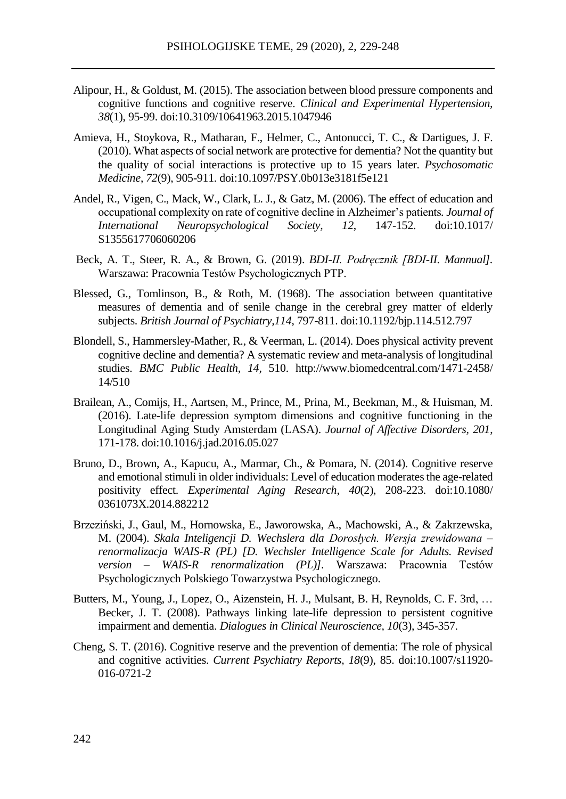- Alipour, H., & Goldust, M. (2015). The association between blood pressure components and cognitive functions and cognitive reserve. *Clinical and Experimental Hypertension, 38*(1), 95-99. doi:10.3109/10641963.2015.1047946
- Amieva, H., Stoykova, R., Matharan, F., [Helmer, C.](https://www.ncbi.nlm.nih.gov/pubmed/?term=Helmer%20C%5BAuthor%5D&cauthor=true&cauthor_uid=20807876), [Antonucci, T.](https://www.ncbi.nlm.nih.gov/pubmed/?term=Antonucci%20TC%5BAuthor%5D&cauthor=true&cauthor_uid=20807876) C., & Dartigues, J. F.  $(2010)$ . What aspects of social network are protective for dementia? Not the quantity but the quality of social interactions is protective up to 15 years later. *Psychosomatic Medicine*, *72*[\(9\), 905-911.](https://journals.lww.com/psychosomaticmedicine/toc/2010/11000) doi[:10.1097/PSY.0b013e3181f5e121](https://doi.org/10.1097/PSY.0b013e3181f5e121)
- Andel, R., Vigen, C., Mack, W., Clark, L. J., & Gatz, M. (2006). The effect of education and occupational complexity on rate of cognitive decline in Alzheimer's patients*. Journal of International Neuropsychological Society, 12*, 147-152. do[i:10.1017/](https://doi.org/10.1017/S1355617706060206) [S1355617706060206](https://doi.org/10.1017/S1355617706060206)
- Beck, A. T., Steer, R. A., & Brown, G. (2019). *BDI-II. Podręcznik [BDI-II. Mannual].* Warszawa: Pracownia Testów Psychologicznych PTP.
- Blessed, G., Tomlinson, B., & Roth, M. (1968). The association between quantitative measures of dementia and of senile change in the cerebral grey matter of elderly subjects. *British Journal of Psychiatry,114*, 797-811. doi[:10.1192/bjp.114.512.797](https://doi.org/10.1192/bjp.114.512.797)
- Blondell, S., Hammersley-Mather, R., & Veerman, L. (2014). Does physical activity prevent cognitive decline and dementia? A systematic review and meta-analysis of longitudinal studies. *BMC Public Health, 14,* 510. http://www.biomedcentral.com/1471-2458/ 14/510
- Brailean, A., Comijs, H., Aartsen, M., Prince, M., Prina, M., Beekman, M., & Huisman, M. (2016). Late-life depression symptom dimensions and cognitive functioning in the Longitudinal Aging Study Amsterdam (LASA). *Journal of Affective Disorders, 201*, 171-178. do[i:10.1016/j.jad.2016.05.027](https://dx.doi.org/10.1016%2Fj.jad.2016.05.027)
- Bruno, D., Brown, A., Kapucu, A., Marmar, Ch., & Pomara, N. (2014). Cognitive reserve and emotional stimuli in older individuals: Level of education moderates the age-related positivity effect. *Experimental Aging Research, 40*(2), 208-223. do[i:10.1080/](https://doi.org/10.1080/0361073X.2014.882212) [0361073X.2014.882212](https://doi.org/10.1080/0361073X.2014.882212)
- Brzeziński, J., Gaul, M., Hornowska, E., Jaworowska, A., Machowski, A., & Zakrzewska, M. (2004). *Skala Inteligencji D. Wechslera dla Dorosłych. Wersja zrewidowana – renormalizacja WAIS-R (PL) [D. Wechsler Intelligence Scale for Adults. Revised version – WAIS-R renormalization (PL)].* Warszawa: Pracownia Testów Psychologicznych Polskiego Towarzystwa Psychologicznego.
- Butters, M., Young, J., Lopez, O., [Aizenstein, H.](https://www.ncbi.nlm.nih.gov/pubmed/?term=Aizenstein%20HJ%5BAuthor%5D&cauthor=true&cauthor_uid=18979948) J.[, Mulsant, B.](https://www.ncbi.nlm.nih.gov/pubmed/?term=Mulsant%20BH%5BAuthor%5D&cauthor=true&cauthor_uid=18979948) H, [Reynolds, C.](https://www.ncbi.nlm.nih.gov/pubmed/?term=Reynolds%20CF%203rd%5BAuthor%5D&cauthor=true&cauthor_uid=18979948) F. 3rd, … [Becker, J. T.](https://www.ncbi.nlm.nih.gov/pubmed/?term=Becker%20JT%5BAuthor%5D&cauthor=true&cauthor_uid=18979948) (2008). Pathways linking late-life depression to persistent cognitive impairment and dementia. *Dialogues in Clinical Neuroscience, 10*(3), 345-357.
- Cheng, S. T. (2016). Cognitive reserve and the prevention of dementia: The role of physical and cognitive activities. *[Current Psychiatry Reports,](https://www.ncbi.nlm.nih.gov/pubmed/27481112) 18*(9), 85. doi:10.1007/s11920- 016-0721-2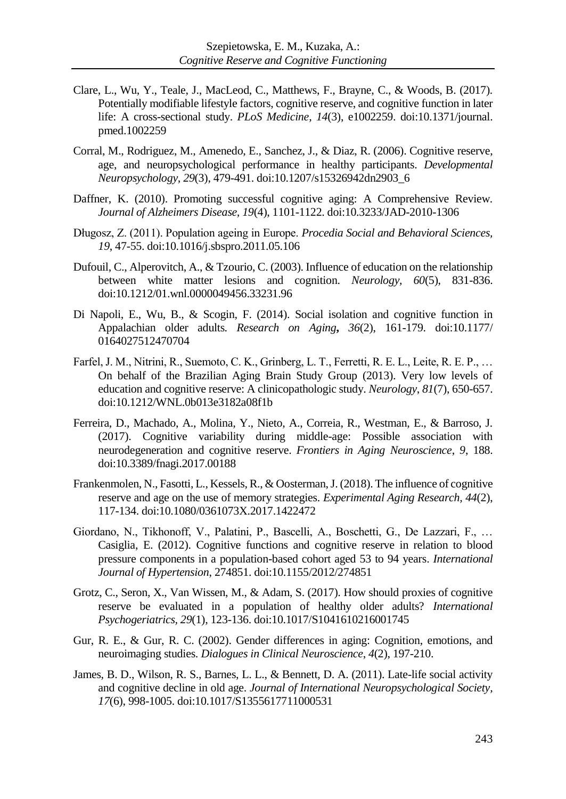- Clare, L., Wu, Y., Teale, J., MacLeod, C., Matthews, F., Brayne, C., & Woods, B. (2017). Potentially modifiable lifestyle factors, cognitive reserve, and cognitive function in later life: A cross-sectional study. *PLoS Medicine, 14*(3), e1002259. doi:10.1371/journal. pmed.1002259
- Corral, M., Rodriguez, M., Amenedo, E., Sanchez, J., & Diaz, R. (2006). Cognitive reserve, age, and neuropsychological performance in healthy participants. *Developmental Neuropsychology, 29*(3), 479-491. do[i:10.1207/s15326942dn2903\\_6](https://doi.org/10.1207/s15326942dn2903_6)
- Daffner, K. (2010). Promoting successful cognitive aging: A Comprehensive Review. *Journal of Alzheimers Disease, 19*(4), 1101-1122. doi:10.3233/JAD-2010-1306
- Długosz, Z. (2011). Population ageing in Europe. *Procedia Social and Behavioral Sciences, 19*, 47-55. [doi:10.1016/j.sbspro.2011.05.106](https://doi.org/10.1016/j.sbspro.2011.05.106)
- Dufouil, C., Alperovitch, A., & Tzourio, C. (2003). Influence of education on the relationship between white matter lesions and cognition. *Neurology, 60*(5), 831-836. do[i:10.1212/01.wnl.0000049456.33231.96](https://doi.org/10.1212/01.wnl.0000049456.33231.96)
- Di Napoli, E., Wu, B., & Scogin, F. (2014). Social isolation and cognitive function in Appalachian older adults*. Research on Aging***,** *36*(2), 161-179. doi:10.1177/ 0164027512470704
- Farfel, J. M., Nitrini, R., Suemoto, C. K., Grinberg, L. T., Ferretti, R. E. L., Leite, R. E. P., … On behalf of the Brazilian Aging Brain Study Group (2013). Very low levels of education and cognitive reserve: A clinicopathologic study. *Neurology*, *81*(7), 650-657. doi:10.1212/WNL.0b013e3182a08f1b
- Ferreira, D., Machado, A., Molina, Y., Nieto, A., Correia, R., Westman, E., & Barroso, J. (2017). Cognitive variability during middle-age: Possible association with neurodegeneration and cognitive reserve. *Frontiers in Aging Neuroscience*, *9*, 188. doi:10.3389/fnagi.2017.00188
- Frankenmolen, N., Fasotti, L., Kessels, R., & Oosterman, J. (2018). The influence of cognitive reserve and age on the use of memory strategies. *Experimental Aging Research, 44*(2), 117-134. do[i:10.1080/0361073X.2017.1422472](https://doi.org/10.1080/0361073X.2017.1422472)
- Giordano, N., Tikhonoff, V., Palatini, P., Bascelli, A., Boschetti, G., De Lazzari, F., … Casiglia, E. (2012). Cognitive functions and cognitive reserve in relation to blood pressure components in a population-based cohort aged 53 to 94 years. *International Journal of Hypertension*, 274851. doi:10.1155/2012/274851
- Grotz, C., Seron, X., Van Wissen, M., & Adam, S. (2017). How should proxies of cognitive reserve be evaluated in a population of healthy older adults? *International Psychogeriatrics, 29*(1), 123-136. doi:10.1017/S1041610216001745
- Gur, R. E., & Gur, R. C. (2002). Gender differences in aging: Cognition, emotions, and neuroimaging studies. *Dialogues in Clinical Neuroscience*, *4*(2), 197-210.
- James, B. D., Wilson, R. S., Barnes, L. L., & Bennett, D. A. (2011). Late-life social activity and cognitive decline in old age. *Journal of International Neuropsychological Society, 17*(6), 998-1005. doi[:10.1017/S1355617711000531](https://doi.org/10.1017/S1355617711000531)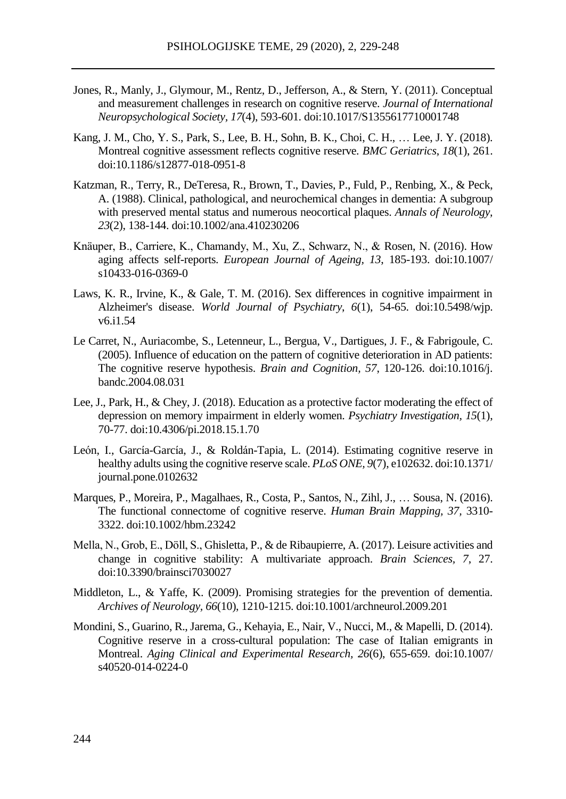- Jones, R., Manly, J., Glymour, M., Rentz, D., Jefferson, A., & Stern, Y. (2011). Conceptual and measurement challenges in research on cognitive reserve. *Journal of International Neuropsychological Society, 17*(4), 593-601. doi:10.1017/S1355617710001748
- Kang, J. M., Cho, Y. S., Park, S., Lee, B. H., Sohn, B. K., Choi, C. H., … Lee, J. Y. (2018). Montreal cognitive assessment reflects cognitive reserve. *BMC Geriatrics*, *18*(1), 261. doi:10.1186/s12877-018-0951-8
- [Katzman, R.](https://www.ncbi.nlm.nih.gov/pubmed/?term=Katzman%20R%5BAuthor%5D&cauthor=true&cauthor_uid=2897823), [Terry, R.](https://www.ncbi.nlm.nih.gov/pubmed/?term=Terry%20R%5BAuthor%5D&cauthor=true&cauthor_uid=2897823), [DeTeresa, R.](https://www.ncbi.nlm.nih.gov/pubmed/?term=DeTeresa%20R%5BAuthor%5D&cauthor=true&cauthor_uid=2897823), [Brown, T.,](https://www.ncbi.nlm.nih.gov/pubmed/?term=Brown%20T%5BAuthor%5D&cauthor=true&cauthor_uid=2897823) [Davies, P.](https://www.ncbi.nlm.nih.gov/pubmed/?term=Davies%20P%5BAuthor%5D&cauthor=true&cauthor_uid=2897823), [Fuld, P.](https://www.ncbi.nlm.nih.gov/pubmed/?term=Fuld%20P%5BAuthor%5D&cauthor=true&cauthor_uid=2897823), [Renbing, X.](https://www.ncbi.nlm.nih.gov/pubmed/?term=Renbing%20X%5BAuthor%5D&cauthor=true&cauthor_uid=2897823), [& Peck,](https://www.ncbi.nlm.nih.gov/pubmed/?term=Peck%20A%5BAuthor%5D&cauthor=true&cauthor_uid=2897823)  [A.](https://www.ncbi.nlm.nih.gov/pubmed/?term=Peck%20A%5BAuthor%5D&cauthor=true&cauthor_uid=2897823) (1988). Clinical, pathological, and neurochemical changes in dementia: A subgroup with preserved mental status and numerous neocortical plaques. *Annals of Neurology, 23*(2), 138-144. doi[:10.1002/ana.410230206](https://doi.org/10.1002/ana.410230206)
- Knäuper, B., Carriere, K., Chamandy, M., Xu, Z., Schwarz, N., & Rosen, N. (2016). How aging affects self-reports. *European Journal of Ageing, 13*, 185-193. doi:10.1007/ s10433-016-0369-0
- Laws, K. R., Irvine, K., & Gale, T. M. (2016). Sex differences in cognitive impairment in Alzheimer's disease. *World Journal of Psychiatry*, *6*(1), 54-65. do[i:10.5498/wjp.](https://dx.doi.org/10.5498%2Fwjp.v6.i1.54) [v6.i1.54](https://dx.doi.org/10.5498%2Fwjp.v6.i1.54)
- Le Carret, N., Auriacombe, S., Letenneur, L., [Bergua, V.](https://www.ncbi.nlm.nih.gov/pubmed/?term=Bergua%20V%5BAuthor%5D&cauthor=true&cauthor_uid=15708201)[, Dartigues, J.](https://www.ncbi.nlm.nih.gov/pubmed/?term=Dartigues%20JF%5BAuthor%5D&cauthor=true&cauthor_uid=15708201) F., & [Fabrigoule, C.](https://www.ncbi.nlm.nih.gov/pubmed/?term=Fabrigoule%20C%5BAuthor%5D&cauthor=true&cauthor_uid=15708201) (2005). Influence of education on the pattern of cognitive deterioration in AD patients: The cognitive reserve hypothesis. *Brain and Cognition, 57*, 120-126. do[i:10.1016/j.](https://doi.org/10.1016/j.bandc.2004.08.031) [bandc.2004.08.031](https://doi.org/10.1016/j.bandc.2004.08.031)
- Lee, J., Park, H., & Chey, J. (2018). Education as a protective factor moderating the effect of depression on memory impairment in elderly women. *Psychiatry Investigation, 15*(1), 70-77. doi[:10.4306/pi.2018.15.1.70](https://dx.doi.org/10.4306%2Fpi.2018.15.1.70)
- León, I., García-García, J., & Roldán-Tapia, L. (2014). Estimating cognitive reserve in healthy adults using the cognitive reserve scale. *PLoS ONE, 9*(7), e102632. doi:10.1371/ journal.pone.0102632
- Marques, P., Moreira, P., Magalhaes, R., [Costa, P.](https://www.ncbi.nlm.nih.gov/pubmed/?term=Costa%20P%5BAuthor%5D&cauthor=true&cauthor_uid=27144904)[, Santos, N.](https://www.ncbi.nlm.nih.gov/pubmed/?term=Santos%20N%5BAuthor%5D&cauthor=true&cauthor_uid=27144904)[, Zihl, J.](https://www.ncbi.nlm.nih.gov/pubmed/?term=Zihl%20J%5BAuthor%5D&cauthor=true&cauthor_uid=27144904), … [Sousa, N.](https://www.ncbi.nlm.nih.gov/pubmed/?term=Sousa%20N%5BAuthor%5D&cauthor=true&cauthor_uid=27144904) (2016). The functional connectome of cognitive reserve. *Human Brain Mapping, 37,* 3310- 3322. doi:10.1002/hbm.23242
- Mella, N., Grob, E., Döll, S.[, Ghisletta,](https://www.ncbi.nlm.nih.gov/pubmed/?term=Ghisletta%20P%5BAuthor%5D&cauthor=true&cauthor_uid=28257047) P., [& de Ribaupierre, A.](https://www.ncbi.nlm.nih.gov/pubmed/?term=de%20Ribaupierre%20A%5BAuthor%5D&cauthor=true&cauthor_uid=28257047) (2017). Leisure activities and change in cognitive stability: A multivariate approach. *Brain Sciences, 7*, 27. doi:10.3390/brainsci7030027
- Middleton, L., & Yaffe, K. (2009). Promising strategies for the prevention of dementia. *Archives of Neurology, 66*(10), 1210-1215. doi:10.1001/archneurol.2009.201
- Mondini, S., Guarino, R., Jarema, G.[, Kehayia, E.](https://www.ncbi.nlm.nih.gov/pubmed/?term=Kehayia%20E%5BAuthor%5D&cauthor=true&cauthor_uid=24781828)[, Nair, V.](https://www.ncbi.nlm.nih.gov/pubmed/?term=Nair%20V%5BAuthor%5D&cauthor=true&cauthor_uid=24781828)[, Nucci, M.](https://www.ncbi.nlm.nih.gov/pubmed/?term=Nucci%20M%5BAuthor%5D&cauthor=true&cauthor_uid=24781828), [& Mapelli, D.](https://www.ncbi.nlm.nih.gov/pubmed/?term=Mapelli%20D%5BAuthor%5D&cauthor=true&cauthor_uid=24781828) (2014). Cognitive reserve in a cross-cultural population: The case of Italian emigrants in Montreal. *Aging Clinical and Experimental Research, 26*(6), 655-659*.* doi:10.1007/ s40520-014-0224-0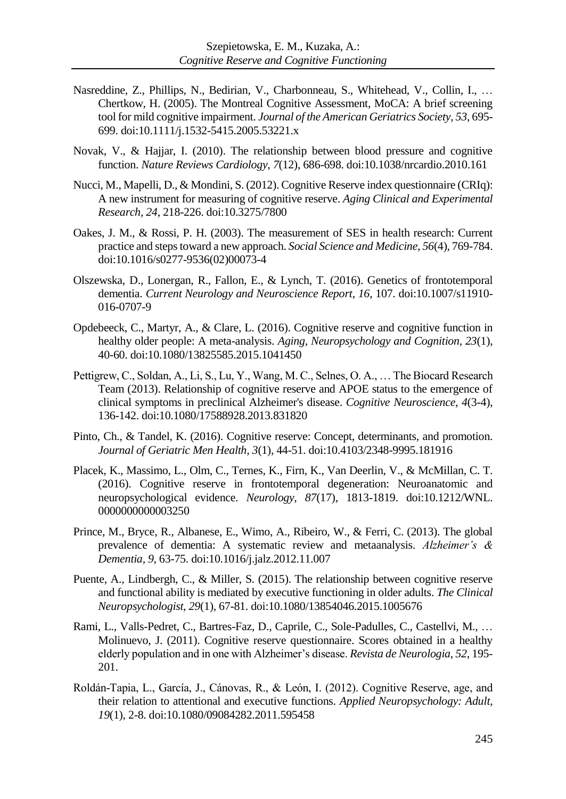- Nasreddine, Z., Phillips, N., Bedirian, V., [Charbonneau, S.](https://www.ncbi.nlm.nih.gov/pubmed/?term=Charbonneau%20S%5BAuthor%5D&cauthor=true&cauthor_uid=15817019), [Whitehead, V.](https://www.ncbi.nlm.nih.gov/pubmed/?term=Whitehead%20V%5BAuthor%5D&cauthor=true&cauthor_uid=15817019), [Collin, I.,](https://www.ncbi.nlm.nih.gov/pubmed/?term=Collin%20I%5BAuthor%5D&cauthor=true&cauthor_uid=15817019) … [Chertkow,](https://www.ncbi.nlm.nih.gov/pubmed/?term=Chertkow%20H%5BAuthor%5D&cauthor=true&cauthor_uid=15817019) H. (2005). The Montreal Cognitive Assessment, MoCA: A brief screening tool for mild cognitive impairment. *Journal of the American Geriatrics Society, 53*, 695- 699. doi:10.1111/j.1532-5415.2005.53221.x
- Novak, V., & Hajjar, I. (2010). The relationship between blood pressure and cognitive function. *Nature Reviews Cardiology, 7*(12), 686-698. doi:10.1038/nrcardio.2010.161
- Nucci, M., Mapelli, D., & Mondini, S. (2012). Cognitive Reserve index questionnaire (CRIq): A new instrument for measuring of cognitive reserve. *Aging Clinical and Experimental Research, 24*, 218-226. doi:10.3275/7800
- Oakes, J. M., & Rossi, P. H. (2003). The measurement of SES in health research: Current practice and steps toward a new approach. *Social Science and Medicine, 56*(4), 769-784. do[i:10.1016/s0277-9536\(02\)00073-4](https://doi.org/10.1016/s0277-9536(02)00073-4)
- Olszewska, D., Lonergan, R., Fallon, E., & Lynch, T. (2016). Genetics of frontotemporal dementia. *Current Neurology and Neuroscience Report*, *16*, 107. doi:10.1007/s11910- 016-0707-9
- Opdebeeck, C., Martyr, A., & Clare, L. (2016). Cognitive reserve and cognitive function in healthy older people: A meta-analysis. *Aging, Neuropsychology and Cognition, 23*(1), 40-60. doi:10.1080/13825585.2015.1041450
- Pettigrew, C., Soldan, A., Li, S., Lu, Y., Wang, M. C., Selnes, O. A., … The Biocard Research Team (2013). Relationship of cognitive reserve and APOE status to the emergence of clinical symptoms in preclinical Alzheimer's disease. *Cognitive Neuroscience*, *4*(3-4), 136-142. doi:10.1080/17588928.2013.831820
- Pinto, Ch., & Tandel, K. (2016). Cognitive reserve: Concept, determinants, and promotion. *[Journal of Geriatric Men Health,](file:///C:/Users/Jadwiga/Desktop/tłumaczenia/Naukowe/UMCS/Szepietowska,%20Ewa/grudzie%202018/Journal%20of%20Geriatric%20Men%20Health) 3*(1), 44-51. doi:10.4103/2348-9995.181916
- Placek, K., Massimo, L., Olm, C., Ternes, K., Firn, K., Van Deerlin, V., & McMillan, C. T. (2016). Cognitive reserve in frontotemporal degeneration: Neuroanatomic and neuropsychological evidence. *Neurology*, *87*(17), 1813-1819. doi[:10.1212/WNL.](https://doi.org/10.1212/WNL.0000000000003250) [0000000000003250](https://doi.org/10.1212/WNL.0000000000003250)
- Prince, M., Bryce, R., Albanese, E., Wimo, A., Ribeiro, W., & Ferri, C. (2013). The global prevalence of dementia: A systematic review and metaanalysis. *Alzheimer's & Dementia, 9*, 63-75. doi:10.1016/j.jalz.2012.11.007
- Puente, A., Lindbergh, C., & Miller, S. (2015). The relationship between cognitive reserve and functional ability is mediated by executive functioning in older adults. *The Clinical Neuropsychologist, 29*(1), 67-81. doi:10.1080/13854046.2015.1005676
- Rami, L., Valls-Pedret, C., Bartres-Faz, D., Caprile, C., Sole-Padulles, C., Castellvi, M., … Molinuevo, J. (2011). Cognitive reserve questionnaire. Scores obtained in a healthy elderly population and in one with Alzheimer's disease. *Revista de Neurologia, 52*, 195- 201.
- Roldán-Tapia, L., García, J., Cánovas, R., & León, I. (2012). Cognitive Reserve, age, and their relation to attentional and executive functions. *Applied Neuropsychology: Adult, 19*(1), 2-8. doi:10.1080/09084282.2011.595458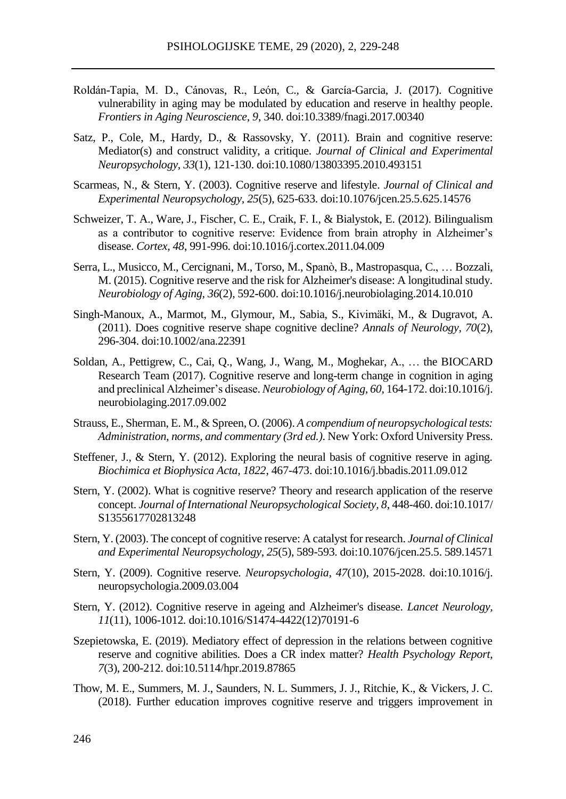- Roldán-Tapia, M. D., Cánovas, R., León, C., & García-Garcia, J. (2017). Cognitive vulnerability in aging may be modulated by education and reserve in healthy people. *Frontiers in Aging Neuroscience, 9*, 340. doi:10.3389/fnagi.2017.00340
- Satz, P., Cole, M., Hardy, D., & Rassovsky, Y. (2011). Brain and cognitive reserve: Mediator(s) and construct validity, a critique. *Journal of Clinical and Experimental Neuropsychology, 33*(1), 121-130. doi:10.1080/13803395.2010.493151
- Scarmeas, N., & Stern, Y. (2003). Cognitive reserve and lifestyle. *Journal of Clinical and Experimental Neuropsychology, 25*(5), 625-633. doi[:10.1076/jcen.25.5.625.14576](https://dx.doi.org/10.1076%2Fjcen.25.5.625.14576)
- Schweizer, T. A., Ware, J., Fischer, C. E.[, Craik, F.](https://www.ncbi.nlm.nih.gov/pubmed/?term=Craik%20FI%5BAuthor%5D&cauthor=true&cauthor_uid=21596373) I., & [Bialystok, E.](https://www.ncbi.nlm.nih.gov/pubmed/?term=Bialystok%20E%5BAuthor%5D&cauthor=true&cauthor_uid=21596373) (2012). Bilingualism as a contributor to cognitive reserve: Evidence from brain atrophy in Alzheimer's disease. *Cortex, 48*, 991-996. doi:10.1016/j.cortex.2011.04.009
- Serra[, L.](https://www.ncbi.nlm.nih.gov/pubmed/?term=Serra%20L%5BAuthor%5D&cauthor=true&cauthor_uid=25433459)[, Musicco, M.](https://www.ncbi.nlm.nih.gov/pubmed/?term=Musicco%20M%5BAuthor%5D&cauthor=true&cauthor_uid=25433459)[, Cercignani, M.](https://www.ncbi.nlm.nih.gov/pubmed/?term=Cercignani%20M%5BAuthor%5D&cauthor=true&cauthor_uid=25433459)[, Torso, M.](https://www.ncbi.nlm.nih.gov/pubmed/?term=Torso%20M%5BAuthor%5D&cauthor=true&cauthor_uid=25433459)[, Spanò, B.](https://www.ncbi.nlm.nih.gov/pubmed/?term=Span%C3%B2%20B%5BAuthor%5D&cauthor=true&cauthor_uid=25433459), [Mastropasqua, C.](https://www.ncbi.nlm.nih.gov/pubmed/?term=Mastropasqua%20C%5BAuthor%5D&cauthor=true&cauthor_uid=25433459), … [Bozzali,](https://www.ncbi.nlm.nih.gov/pubmed/?term=Bozzali%20M%5BAuthor%5D&cauthor=true&cauthor_uid=25433459)  [M.](https://www.ncbi.nlm.nih.gov/pubmed/?term=Bozzali%20M%5BAuthor%5D&cauthor=true&cauthor_uid=25433459) (2015). Cognitive reserve and the risk for Alzheimer's disease: A longitudinal study. *Neurobiology of Aging, 36*(2), 592**-**600. doi:10.1016/j.neurobiolaging.2014.10.010
- Singh-Manoux, A., Marmot, M., Glymour, M., [Sabia, S.](https://www.ncbi.nlm.nih.gov/pubmed/?term=Sabia%20S%5BAuthor%5D&cauthor=true&cauthor_uid=21563209), [Kivimäki, M.](https://www.ncbi.nlm.nih.gov/pubmed/?term=Kivim%C3%A4ki%20M%5BAuthor%5D&cauthor=true&cauthor_uid=21563209), & [Dugravot, A.](https://www.ncbi.nlm.nih.gov/pubmed/?term=Dugravot%20A%5BAuthor%5D&cauthor=true&cauthor_uid=21563209) (2011). Does cognitive reserve shape cognitive decline? *Annals of Neurology, 70*(2), 296-304. doi:10.1002/ana.22391
- Soldan, A., Pettigrew, C., Cai, Q., Wang, J., Wang, M., Moghekar, A., … the BIOCARD Research Team (2017). Cognitive reserve and long-term change in cognition in aging and preclinical Alzheimer's disease. *Neurobiology of Aging, 60*, 164-172. doi:10.1016/j. neurobiolaging.2017.09.002
- Strauss, E., Sherman, E. M., & Spreen, O. (2006). *A compendium of neuropsychological tests: Administration, norms, and commentary (3rd ed.)*. New York: Oxford University Press.
- Steffener, J., & Stern, Y. (2012). Exploring the neural basis of cognitive reserve in aging. *Biochimica et Biophysica Acta, 1822*, 467-473. doi:10.1016/j.bbadis.2011.09.012
- Stern, Y. (2002). What is cognitive reserve? Theory and research application of the reserve concept. *Journal of International Neuropsychological Society, 8*, 448-460. doi:10.1017/ S1355617702813248
- Stern, Y. (2003). The concept of cognitive reserve: A catalyst for research. *Journal of Clinical and Experimental Neuropsychology, 25*(5), 589-593. do[i:10.1076/jcen.25.5.](https://doi.org/10.1076/jcen.25.5.589.14571) 589.14571
- Stern, Y. (2009). Cognitive reserve*. Neuropsychologia, 47*(10), 2015-2028. doi:10.1016/j. neuropsychologia.2009.03.004
- Stern, Y. (2012). Cognitive reserve in ageing and Alzheimer's disease. *[Lancet Neurolo](https://www.ncbi.nlm.nih.gov/pmc/articles/PMC3507991/)gy, 11*(11), 1006-1012*.* doi:10.1016/S1474-4422(12)70191-6
- Szepietowska, E. (2019). Mediatory effect of depression in the relations between cognitive reserve and cognitive abilities. Does a CR index matter? *Health Psychology Report, 7*(3), 200-212. doi:10.5114/hpr.2019.87865
- Thow, M. E., Summers, M. J., Saunders, N. L. Summers, J. J., Ritchie, K., & Vickers, J. C. (2018). Further education improves cognitive reserve and triggers improvement in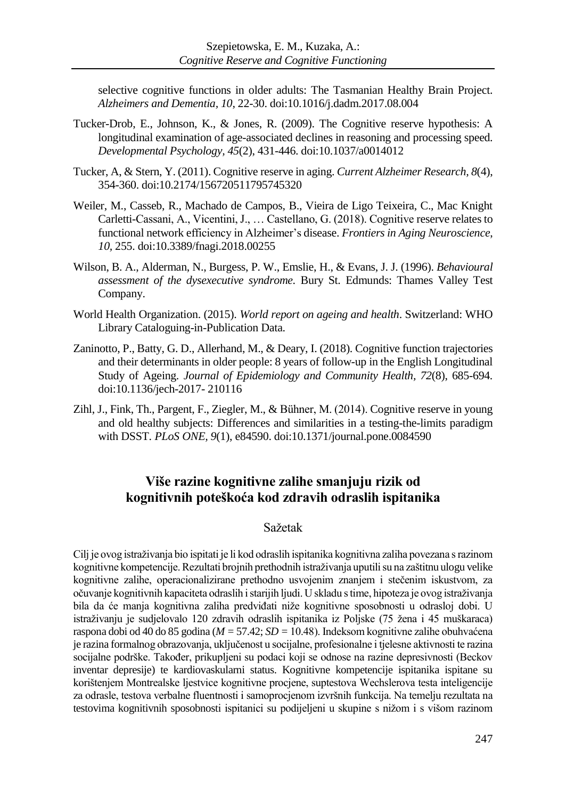selective cognitive functions in older adults: The Tasmanian Healthy Brain Project. *Alzheimers and Dementia, 10*, 22-30. doi:10.1016/j.dadm.2017.08.004

- Tucker-Drob, E., Johnson, K., & Jones, R. (2009). The Cognitive reserve hypothesis: A longitudinal examination of age-associated declines in reasoning and processing speed. *Developmental Psychology, 45*(2), 431-446. do[i:10.1037/a0014012](https://dx.doi.org/10.1037%2Fa0014012)
- Tucker, A, & Stern, Y. (2011). Cognitive reserve in aging. *Current Alzheimer Research, 8*(4), 354-360. doi:10.2174/156720511795745320
- Weiler, M., Casseb, R., Machado de Campos, B., Vieira de Ligo Teixeira, C., Mac Knight Carletti-Cassani, A., Vicentini, J., … Castellano, G. (2018). Cognitive reserve relates to functional network efficiency in Alzheimer's disease. *Frontiers in Aging Neuroscience*, *10,* 255. [doi:10.3389/fnagi.2018.00255](https://doi.org/10.3389/fnagi.2018.00255)
- Wilson, B. A., Alderman, N., Burgess, P. W., Emslie, H., & Evans, J. J. (1996). *Behavioural assessment of the dysexecutive syndrome.* Bury St. Edmunds: Thames Valley Test Company.
- World Health Organization. (2015). *World report on ageing and health*. Switzerland: WHO Library Cataloguing-in-Publication Data.
- Zaninotto, P., Batty, G. D., Allerhand, M., & Deary, I. (2018). Cognitive function trajectories and their determinants in older people: 8 years of follow-up in the English Longitudinal Study of Ageing. *Journal of Epidemiology and Community Health, 72*(8), 685-694*.* doi:10.1136/jech-2017- 210116
- Zihl, J., Fink, Th., Pargent, F., Ziegler, M., & Bühner, M. (2014). Cognitive reserve in young and old healthy subjects: Differences and similarities in a testing-the-limits paradigm with DSST*. PLoS ONE, 9*(1), e84590. doi:10.1371/journal.pone.0084590

# **Više razine kognitivne zalihe smanjuju rizik od kognitivnih poteškoća kod zdravih odraslih ispitanika**

# Sažetak

Cilj je ovog istraživanja bio ispitati je li kod odraslih ispitanika kognitivna zaliha povezana s razinom kognitivne kompetencije. Rezultati brojnih prethodnih istraživanja uputili su na zaštitnu ulogu velike kognitivne zalihe, operacionalizirane prethodno usvojenim znanjem i stečenim iskustvom, za očuvanje kognitivnih kapaciteta odraslih i starijih ljudi. U skladu s time, hipoteza je ovog istraživanja bila da će manja kognitivna zaliha predviđati niže kognitivne sposobnosti u odrasloj dobi. U istraživanju je sudjelovalo 120 zdravih odraslih ispitanika iz Poljske (75 žena i 45 muškaraca) raspona dobi od 40 do 85 godina (*M =*57.42; *SD =*10.48). Indeksom kognitivne zalihe obuhvaćena je razina formalnog obrazovanja, uključenost u socijalne, profesionalne i tjelesne aktivnosti te razina socijalne podrške. Također, prikupljeni su podaci koji se odnose na razine depresivnosti (Beckov inventar depresije) te kardiovaskularni status. Kognitivne kompetencije ispitanika ispitane su korištenjem Montrealske ljestvice kognitivne procjene, suptestova Wechslerova testa inteligencije za odrasle, testova verbalne fluentnosti i samoprocjenom izvršnih funkcija. Na temelju rezultata na testovima kognitivnih sposobnosti ispitanici su podijeljeni u skupine s nižom i s višom razinom